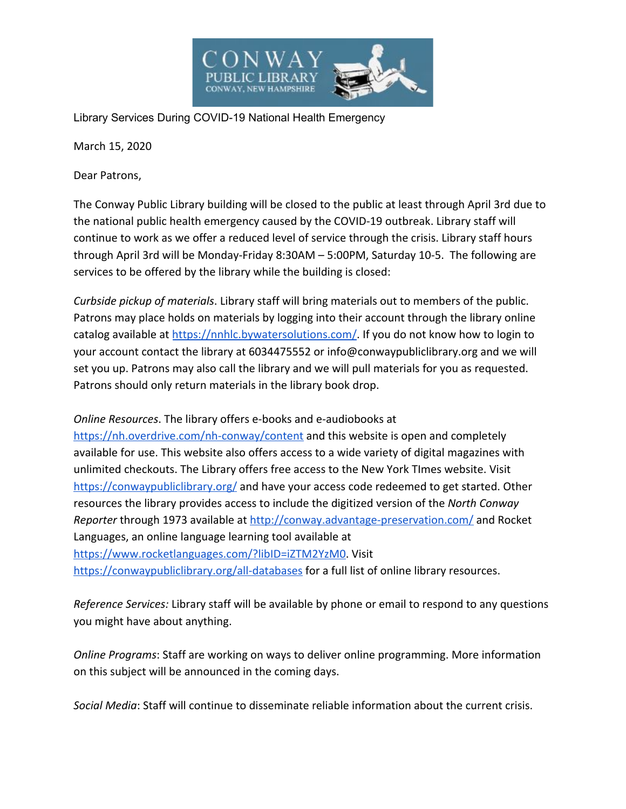

Library Services During COVID-19 National Health Emergency

March 15, 2020

Dear Patrons,

The Conway Public Library building will be closed to the public at least through April 3rd due to the national public health emergency caused by the COVID-19 outbreak. Library staff will continue to work as we offer a reduced level of service through the crisis. Library staff hours through April 3rd will be Monday-Friday 8:30AM – 5:00PM, Saturday 10-5. The following are services to be offered by the library while the building is closed:

*Curbside pickup of materials*. Library staff will bring materials out to members of the public. Patrons may place holds on materials by logging into their account through the library online catalog available at <https://nnhlc.bywatersolutions.com/>. If you do not know how to login to your account contact the library at 6034475552 or info@conwaypubliclibrary.org and we will set you up. Patrons may also call the library and we will pull materials for you as requested. Patrons should only return materials in the library book drop.

*Online Resources*. The library offers e-books and e-audiobooks at

<https://nh.overdrive.com/nh-conway/content> and this website is open and completely available for use. This website also offers access to a wide variety of digital magazines with unlimited checkouts. The Library offers free access to the New York TImes website. Visit <https://conwaypubliclibrary.org/>and have your access code redeemed to get started. Other resources the library provides access to include the digitized version of the *North Conway Reporter* through 1973 available at<http://conway.advantage-preservation.com/>and Rocket Languages, an online language learning tool available at <https://www.rocketlanguages.com/?libID=iZTM2YzM0>. Visit

<https://conwaypubliclibrary.org/all-databases> for a full list of online library resources.

*Reference Services:* Library staff will be available by phone or email to respond to any questions you might have about anything.

*Online Programs*: Staff are working on ways to deliver online programming. More information on this subject will be announced in the coming days.

*Social Media*: Staff will continue to disseminate reliable information about the current crisis.